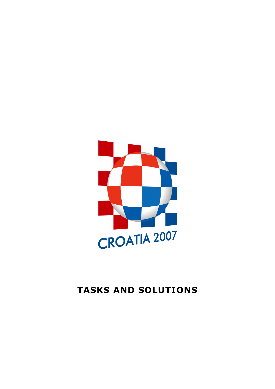

# TASKS AND SOLUTIONS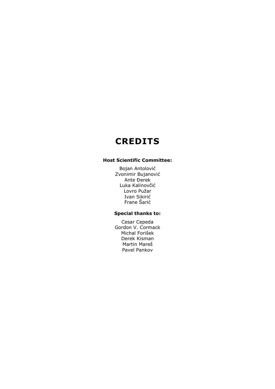# **CREDITS**

# Host Scientific Committee:

Bojan Antolović Zvonimir Bujanović Ante ðerek Luka Kalinovčić Lovro Pužar Ivan Sikirić Frane Šarić

# Special thanks to:

Cesar Cepeda Gordon V. Cormack Michal Forišek Derek Kisman Martin Mareš Pavel Pankov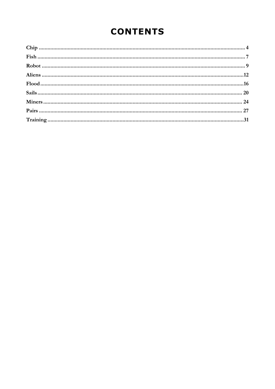# **CONTENTS**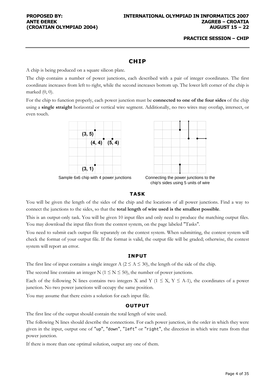# **CHIP**

A chip is being produced on a square silicon plate.

The chip contains a number of power junctions, each described with a pair of integer coordinates. The first coordinate increases from left to right, while the second increases bottom up. The lower left corner of the chip is marked (0, 0).

For the chip to function properly, each power junction must be connected to one of the four sides of the chip using a single straight horizontal or vertical wire segment. Additionally, no two wires may overlap, intersect, or even touch.





Sample 6x6 chip with 4 power junctions Connecting the power junctions to the chip's sides using 5 units of wire

## TASK

You will be given the length of the sides of the chip and the locations of all power junctions. Find a way to connect the junctions to the sides, so that the total length of wire used is the smallest possible.

This is an output-only task. You will be given 10 input files and only need to produce the matching output files. You may download the input files from the contest system, on the page labeled "Tasks".

You need to submit each output file separately on the contest system. When submitting, the contest system will check the format of your output file. If the format is valid, the output file will be graded; otherwise, the contest system will report an error.

## INPUT

The first line of input contains a single integer A ( $2 \le A \le 30$ ), the length of the side of the chip.

The second line contains an integer N ( $1 \le N \le 50$ ), the number of power junctions.

Each of the following N lines contains two integers X and Y ( $1 \le X, Y \le A-1$ ), the coordinates of a power junction. No two power junctions will occupy the same position.

You may assume that there exists a solution for each input file.

## OUTPUT

The first line of the output should contain the total length of wire used.

The following N lines should describe the connections. For each power junction, in the order in which they were given in the input, output one of "up", "down", "left" or "right", the direction in which wire runs from that power junction.

If there is more than one optimal solution, output any one of them.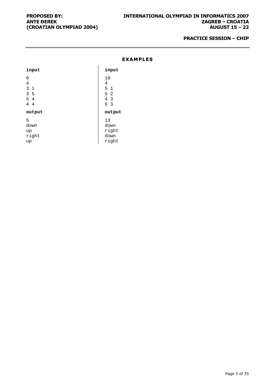## PROPOSED BY: ANTE ðEREK (CROATIAN OLYMPIAD 2004)

 $\overline{a}$ 

# PRACTICE SESSION – CHIP

# EXAMPLES

| input                                                                | input                                                     |
|----------------------------------------------------------------------|-----------------------------------------------------------|
| 6<br>$\overline{4}$<br>3 <sub>1</sub><br>3 <sub>5</sub><br>54<br>4 4 | 10<br>4<br>5 <sub>1</sub><br>5 <sub>2</sub><br>4 3<br>6 3 |
|                                                                      |                                                           |
| output                                                               | output                                                    |
| 5                                                                    | 13                                                        |
| down                                                                 | down                                                      |
| up                                                                   | right                                                     |
| right                                                                | down                                                      |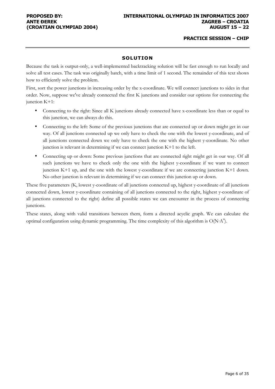## PRACTICE SESSION – CHIP

# SOLUTION

Because the task is output-only, a well-implemented backtracking solution will be fast enough to run locally and solve all test cases. The task was originally batch, with a time limit of 1 second. The remainder of this text shows how to efficiently solve the problem.

First, sort the power junctions in increasing order by the x-coordinate. We will connect junctions to sides in that order. Now, suppose we've already connected the first K junctions and consider our options for connecting the junction K+1:

- Connecting to the right: Since all K junctions already connected have x-coordinate less than or equal to this junction, we can always do this.
- Connecting to the left: Some of the previous junctions that are connected up or down might get in our way. Of all junctions connected up we only have to check the one with the lowest y-coordinate, and of all junctions connected down we only have to check the one with the highest y-coordinate. No other junction is relevant in determining if we can connect junction  $K+1$  to the left.
- Connecting up or down: Some previous junctions that are connected right might get in our way. Of all such junctions we have to check only the one with the highest y-coordinate if we want to connect junction  $K+1$  up, and the one with the lowest y-coordinate if we are connecting junction  $K+1$  down. No other junction is relevant in determining if we can connect this junction up or down.

These five parameters (K, lowest y-coordinate of all junctions connected up, highest y-coordinate of all junctions connected down, lowest y-coordinate containing of all junctions connected to the right, highest y-coordinate of all junctions connected to the right) define all possible states we can encounter in the process of connecting junctions.

These states, along with valid transitions between them, form a directed acyclic graph. We can calculate the optimal configuration using dynamic programming. The time complexity of this algorithm is  $O(N·A<sup>4</sup>)$ .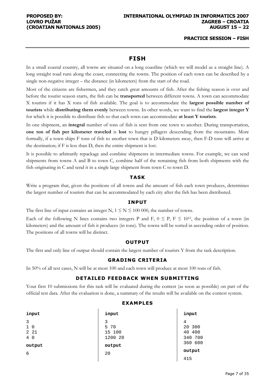# FISH

In a small coastal country, all towns are situated on a long coastline (which we will model as a straight line). A long straight road runs along the coast, connecting the towns. The position of each town can be described by a single non-negative integer – the distance (in kilometers) from the start of the road.

Most of the citizens are fishermen, and they catch great amounts of fish. After the fishing season is over and before the tourist season starts, the fish can be transported between different towns. A town can accommodate X tourists if it has X tons of fish available. The goal is to accommodate the largest possible number of tourists while distributing them evenly between towns. In other words, we want to find the largest integer Y for which it is possible to distribute fish so that each town can accommodate at least Y tourists.

In one shipment, an integral number of tons of fish is sent from one town to another. During transportation, one ton of fish per kilometer traveled is lost to hungry pillagers descending from the mountains. More formally, if a town ships F tons of fish to another town that is D kilometers away, then F-D tons will arrive at the destination; if F is less than D, then the entire shipment is lost.

It is possible to arbitrarily repackage and combine shipments in intermediate towns. For example, we can send shipments from towns A and B to town C, combine half of the remaining fish from both shipments with the fish originating in C and send it in a single large shipment from town C to town D.

# TASK

Write a program that, given the positions of all towns and the amount of fish each town produces, determines the largest number of tourists that can be accommodated by each city after the fish has been distributed.

# INPUT

The first line of input contains an integer N,  $1 \le N \le 100000$ , the number of towns.

Each of the following N lines contains two integers P and F,  $0 \le P$ ,  $F \le 10^{12}$ , the position of a town (in kilometers) and the amount of fish it produces (in tons). The towns will be sorted in ascending order of position. The positions of all towns will be distinct.

## OUTPUT

The first and only line of output should contain the largest number of tourists Y from the task description.

# GRADING CRITERIA

In 50% of all test cases, N will be at most 100 and each town will produce at most 100 tons of fish.

# DETAILED FEEDBACK WHEN SUBMITTING

Your first 10 submissions for this task will be evaluated during the contest (as soon as possible) on part of the official test data. After the evaluation is done, a summary of the results will be available on the contest system.

## EXAMPLES

| input     | input   | input   |
|-----------|---------|---------|
| 3         | 3       | 4       |
| $1\quad0$ | 5 70    | 20 300  |
| 2 2 1     | 15 100  | 40 400  |
| $4\quad0$ | 1200 20 | 340 700 |
| output    | output  | 360 600 |
| 6         | 20      | output  |
|           |         | 415     |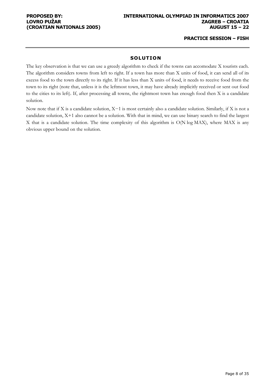PRACTICE SESSION – FISH

# SOLUTION

The key observation is that we can use a greedy algorithm to check if the towns can accomodate X tourists each. The algorithm considers towns from left to right. If a town has more than X units of food, it can send all of its excess food to the town directly to its right. If it has less than X units of food, it needs to receive food from the town to its right (note that, unless it is the leftmost town, it may have already implicitly received or sent out food to the cities to its left). If, after processing all towns, the rightmost town has enough food then X is a candidate solution.

Now note that if X is a candidate solution, X−1 is most certainly also a candidate solution. Similarly, if X is not a candidate solution, X+1 also cannot be a solution. With that in mind, we can use binary search to find the largest X that is a candidate solution. The time complexity of this algorithm is O(N log MAX), where MAX is any obvious upper bound on the solution.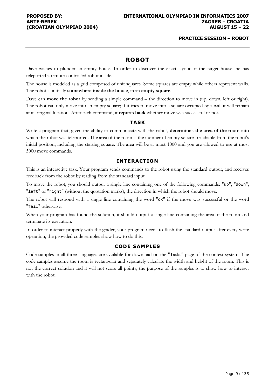#### PRACTICE SESSION – ROBOT

# ROBOT

Dave wishes to plunder an empty house. In order to discover the exact layout of the target house, he has teleported a remote-controlled robot inside.

The house is modeled as a grid composed of unit squares. Some squares are empty while others represent walls. The robot is initially somewhere inside the house, in an empty square.

Dave can **move the robot** by sending a simple command – the direction to move in (up, down, left or right). The robot can only move into an empty square; if it tries to move into a square occupied by a wall it will remain at its original location. After each command, it reports back whether move was successful or not.

# TASK

Write a program that, given the ability to communicate with the robot, determines the area of the room into which the robot was teleported. The area of the room is the number of empty squares reachable from the robot's initial position, including the starting square. The area will be at most 1000 and you are allowed to use at most 5000 move commands.

# INTERACTION

This is an interactive task. Your program sends commands to the robot using the standard output, and receives feedback from the robot by reading from the standard input.

To move the robot, you should output a single line containing one of the following commands: "up", "down", "left" or "right" (without the quotation marks), the direction in which the robot should move.

The robot will respond with a single line containing the word "ok" if the move was successful or the word "fail" otherwise.

When your program has found the solution, it should output a single line containing the area of the room and terminate its execution.

In order to interact properly with the grader, your program needs to flush the standard output after every write operation; the provided code samples show how to do this.

# CODE SAMPLES

Code samples in all three languages are available for download on the "Tasks" page of the contest system. The code samples assume the room is rectangular and separately calculate the width and height of the room. This is not the correct solution and it will not score all points; the purpose of the samples is to show how to interact with the robot.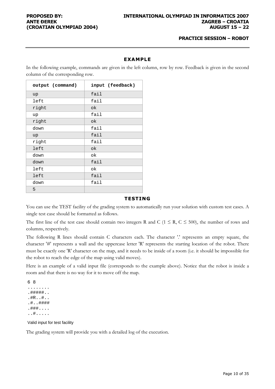#### PRACTICE SESSION – ROBOT

## EXAMPLE

In the following example, commands are given in the left column, row by row. Feedback is given in the second column of the corresponding row.

| output (command) | input (feedback) |
|------------------|------------------|
| up               | fail             |
| left             | fail             |
| right            | ok               |
| up               | fail             |
| right            | ok               |
| down             | fail             |
| up               | fail             |
| right            | fail             |
| left             | ok               |
| down             | ok               |
| down             | fail             |
| left             | ok               |
| left             | fail             |
| down             | fail             |
| 5                |                  |

## TESTING

You can use the TEST facility of the grading system to automatically run your solution with custom test cases. A single test case should be formatted as follows.

The first line of the test case should contain two integers R and C ( $1 \le R$ ,  $C \le 500$ ), the number of rows and columns, respectively.

The following R lines should contain C characters each. The character '.' represents an empty square, the character '#' represents a wall and the uppercase letter 'R' represents the starting location of the robot. There must be exactly one 'R' character on the map, and it needs to be inside of a room (i.e. it should be impossible for the robot to reach the edge of the map using valid moves).

Here is an example of a valid input file (corresponds to the example above). Notice that the robot is inside a room and that there is no way for it to move off the map.

6 8 ........ .#####.. .#R..#.. .#..#### .###.... ..#.....

Valid input for test facility

The grading system will provide you with a detailed log of the execution.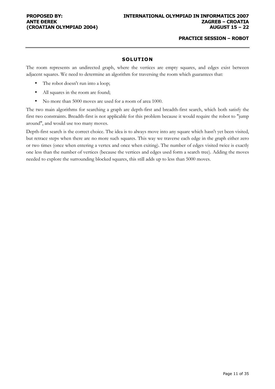## PRACTICE SESSION – ROBOT

# **SOLUTION**

The room represents an undirected graph, where the vertices are empty squares, and edges exist between adjacent squares. We need to determine an algorithm for traversing the room which guarantees that:

- The robot doesn't run into a loop;
- All squares in the room are found;
- No more than 5000 moves are used for a room of area 1000.

The two main algorithms for searching a graph are depth-first and breadth-first search, which both satisfy the first two constraints. Breadth-first is not applicable for this problem because it would require the robot to "jump around", and would use too many moves.

Depth-first search is the correct choice. The idea is to always move into any square which hasn't yet been visited, but retrace steps when there are no more such squares. This way we traverse each edge in the graph either zero or two times (once when entering a vertex and once when exiting). The number of edges visited twice is exactly one less than the number of vertices (because the vertices and edges used form a search tree). Adding the moves needed to explore the surrounding blocked squares, this still adds up to less than 5000 moves.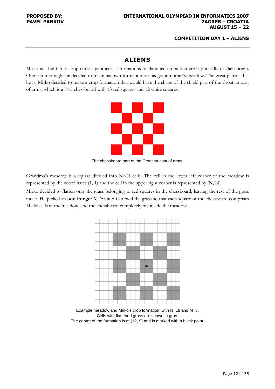# ALIENS

Mirko is a big fan of crop circles, geometrical formations of flattened crops that are supposedly of alien origin. One summer night he decided to make his own formation on his grandmother's meadow. The great patriot that he is, Mirko decided to make a crop formation that would have the shape of the shield part of the Croatian coat of arms, which is a 5×5 chessboard with 13 red squares and 12 white squares.



The chessboard part of the Croatian coat of arms.

Grandma's meadow is a square divided into N×N cells. The cell in the lower left corner of the meadow is represented by the coordinates (1, 1) and the cell in the upper right corner is represented by (N, N).

Mirko decided to flatten only the grass belonging to red squares in the chessboard, leaving the rest of the grass intact. He picked an **odd integer**  $M \geq 3$  and flattened the grass so that each square of the chessboard comprises M×M cells in the meadow, and the chessboard completely fits inside the meadow.



Example meadow and Mirko's crop formation, with N=19 and M=3. Cells with flattened grass are shown in gray. The center of the formation is at (12, 9) and is marked with a black point.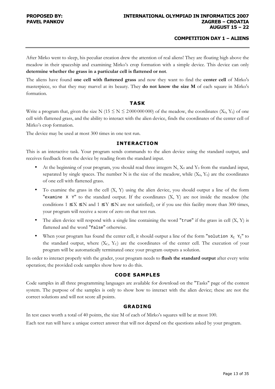After Mirko went to sleep, his peculiar creation drew the attention of real aliens! They are floating high above the meadow in their spaceship and examining Mirko's crop formation with a simple device. This device can only determine whether the grass in a particular cell is flattened or not.

The aliens have found one cell with flattened grass and now they want to find the center cell of Mirko's masterpiece, so that they may marvel at its beauty. They do not know the size M of each square in Mirko's formation.

## TASK

Write a program that, given the size N ( $15 \le N \le 20000000000$ ) of the meadow, the coordinates  $(X_0, Y_0)$  of one cell with flattened grass, and the ability to interact with the alien device, finds the coordinates of the center cell of Mirko's crop formation.

The device may be used at most 300 times in one test run.

#### INTERACTION

This is an interactive task. Your program sends commands to the alien device using the standard output, and receives feedback from the device by reading from the standard input.

- At the beginning of your program, you should read three integers N,  $X_0$  and  $Y_0$  from the standard input, separated by single spaces. The number N is the size of the meadow, while  $(X_0, Y_0)$  are the coordinates of one cell with flattened grass.
- To examine the grass in the cell (X, Y) using the alien device, you should output a line of the form "examine  $X$  Y" to the standard output. If the coordinates  $(X, Y)$  are not inside the meadow (the conditions  $1 \le X \le N$  and  $1 \le Y \le N$  are not satisfied), or if you use this facility more than 300 times, your program will receive a score of zero on that test run.
- The alien device will respond with a single line containing the word "true" if the grass in cell (X, Y) is flattened and the word "false" otherwise.
- When your program has found the center cell, it should output a line of the form "solution  $X_c Y_c''$  to the standard output, where  $(X_C, Y_C)$  are the coordinates of the center cell. The execution of your program will be automatically terminated once your program outputs a solution.

In order to interact properly with the grader, your program needs to flush the standard output after every write operation; the provided code samples show how to do this.

## CODE SAMPLES

Code samples in all three programming languages are available for download on the "Tasks" page of the contest system. The purpose of the samples is only to show how to interact with the alien device; these are not the correct solutions and will not score all points.

## GRADING

In test cases worth a total of 40 points, the size M of each of Mirko's squares will be at most 100.

Each test run will have a unique correct answer that will not depend on the questions asked by your program.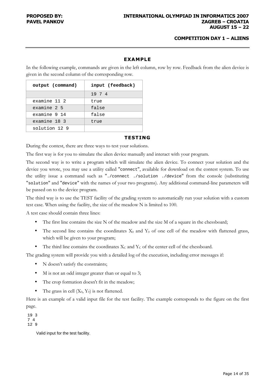# EXAMPLE

In the following example, commands are given in the left column, row by row. Feedback from the alien device is given in the second column of the corresponding row.

| output (command) | input (feedback) |
|------------------|------------------|
|                  | 19 7 4           |
| examine 11 2     | true             |
| examine 2 5      | false            |
| examine 9 14     | false            |
| examine 18 3     | true             |
| solution 12 9    |                  |

## TESTING

During the contest, there are three ways to test your solutions.

The first way is for you to simulate the alien device manually and interact with your program.

The second way is to write a program which will simulate the alien device. To connect your solution and the device you wrote, you may use a utility called "connect", available for download on the contest system. To use the utility issue a command such as "./connect ./solution ./device" from the console (substituting "solution" and "device" with the names of your two programs). Any additional command-line parameters will be passed on to the device program.

The third way is to use the TEST facility of the grading system to automatically run your solution with a custom test case. When using the facility, the size of the meadow N is limited to 100.

A test case should contain three lines:

- The first line contains the size N of the meadow and the size M of a square in the chessboard;
- The second line contains the coordinates  $X_0$  and  $Y_0$  of one cell of the meadow with flattened grass, which will be given to your program;
- The third line contains the coordinates  $X_C$  and  $Y_C$  of the center cell of the chessboard.

The grading system will provide you with a detailed log of the execution, including error messages if:

- N doesn't satisfy the constraints;
- M is not an odd integer greater than or equal to 3;
- The crop formation doesn't fit in the meadow;
- The grass in cell  $(X_0, Y_0)$  is not flattened.

Here is an example of a valid input file for the test facility. The example corresponds to the figure on the first page.

19 3 7 4 12 9

Valid input for the test facility.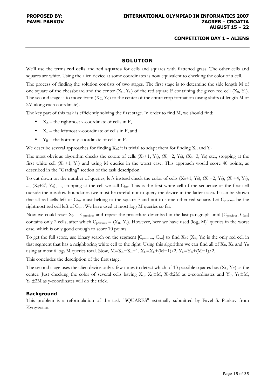## SOLUTION

We'll use the terms **red cells** and **red squares** for cells and squares with flattened grass. The other cells and squares are white. Using the alien device at some coordinates is now equivalent to checking the color of a cell.

The process of finding the solution consists of two stages. The first stage is to determine the side length M of one square of the chessboard and the center  $(X_C, Y_C)$  of the red square F containing the given red cell  $(X_0, Y_0)$ . The second stage is to move from  $(X_C, Y_C)$  to the center of the entire crop formation (using shifts of length M or 2M along each coordinate).

The key part of this task is efficiently solving the first stage. In order to find M, we should find:

- $X_R$  the rightmost x-coordinate of cells in F,
- $X_L$  the leftmost x-coordinate of cells in F, and
- $Y_B$  the bottom y-coordinate of cells in F.

We describe several approaches for finding  $X_R$ ; it is trivial to adapt them for finding  $X_L$  and  $Y_B$ .

The most obvious algorithm checks the colors of cells  $(X_0+1, Y_0)$ ,  $(X_0+2, Y_0)$ ,  $(X_0+3, Y_0)$  etc., stopping at the first white cell  $(X_R+1, Y_0)$  and using M queries in the worst case. This approach would score 40 points, as described in the "Grading" section of the task description.

To cut down on the number of queries, let's instead check the color of cells  $(X_0+1, Y_0)$ ,  $(X_0+2, Y_0)$ ,  $(X_0+4, Y_0)$ , ...,  $(X_0+2^k, Y_0)$ , ..., stopping at the cell we call  $C_{last}$ . This is the first white cell of the sequence or the first cell outside the meadow boundaries (we must be careful not to query the device in the latter case). It can be shown that all red cells left of C<sub>last</sub> must belong to the square F and not to some other red square. Let C<sub>previous</sub> be the rightmost red cell left of  $C_{\text{last}}$ . We have used at most  $\log_2 M$  queries so far.

Now we could reset  $X_0 = C_{previous}$  and repeat the procedure described in the last paragraph until [ $C_{previous}$ ,  $C_{last}$ ] contains only 2 cells, after which  $C_{previous} = (X_R, Y_0)$ . However, here we have used  $(\log_2 M)^2$  queries in the worst case, which is only good enough to score 70 points.

To get the full score, use binary search on the segment  $[C_{previous}, C_{last}]$  to find  $X_R$ :  $(X_R, Y_0)$  is the only red cell in that segment that has a neighboring white cell to the right. Using this algorithm we can find all of  $X_R$ ,  $X_L$  and  $Y_B$ using at most 6 log<sub>2</sub> M queries total. Now, M=X<sub>R</sub>−X<sub>L</sub>+1, X<sub>C</sub>=X<sub>L</sub>+(M−1)/2, Y<sub>C</sub>=Y<sub>B</sub>+(M−1)/2.

This concludes the description of the first stage.

The second stage uses the alien device only a few times to detect which of 13 possible squares has  $(X_c, Y_c)$  as the center. Just checking the color of several cells having  $X_c$ ,  $X_c \pm M$ ,  $X_c \pm 2M$  as x-coordinates and  $Y_c$ ,  $Y_c \pm M$ ,  $Y<sub>C</sub> \pm 2M$  as y-coordinates will do the trick.

## Background

This problem is a reformulation of the task "SQUARES" externally submitted by Pavel S. Pankov from Kyrgyzstan.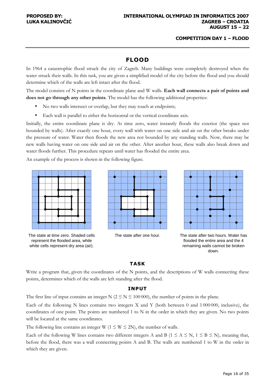# FLOOD

In 1964 a catastrophic flood struck the city of Zagreb. Many buildings were completely destroyed when the water struck their walls. In this task, you are given a simplified model of the city before the flood and you should determine which of the walls are left intact after the flood.

The model consists of N points in the coordinate plane and W walls. Each wall connects a pair of points and does not go through any other points. The model has the following additional properties:

- No two walls intersect or overlap, but they may touch at endpoints;
- Each wall is parallel to either the horizontal or the vertical coordinate axis.

Initially, the entire coordinate plane is dry. At time zero, water instantly floods the exterior (the space not bounded by walls). After exactly one hour, every wall with water on one side and air on the other breaks under the pressure of water. Water then floods the new area not bounded by any standing walls. Now, there may be new walls having water on one side and air on the other. After another hour, these walls also break down and water floods further. This procedure repeats until water has flooded the entire area.

An example of the process is shown in the following figure.



The state at time zero. Shaded cells represent the flooded area, while white cells represent dry area (air).





The state after one hour. The state after two hours. Water has flooded the entire area and the 4 remaining walls cannot be broken down.

# TASK

Write a program that, given the coordinates of the N points, and the descriptions of W walls connecting these points, determines which of the walls are left standing after the flood.

# INPUT

The first line of input contains an integer N ( $2 \le N \le 100000$ ), the number of points in the plane.

Each of the following N lines contains two integers X and Y (both between 0 and 1 000 000, inclusive), the coordinates of one point. The points are numbered 1 to N in the order in which they are given. No two points will be located at the same coordinates.

The following line contains an integer W ( $1 \leq W \leq 2N$ ), the number of walls.

Each of the following W lines contains two different integers A and B ( $1 \le A \le N$ ,  $1 \le B \le N$ ), meaning that, before the flood, there was a wall connecting points A and B. The walls are numbered 1 to W in the order in which they are given.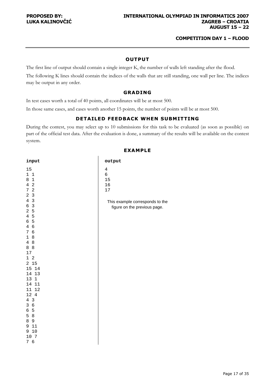# **OUTPUT**

The first line of output should contain a single integer K, the number of walls left standing after the flood.

The following K lines should contain the indices of the walls that are still standing, one wall per line. The indices may be output in any order.

## GRADING

In test cases worth a total of 40 points, all coordinates will be at most 500.

 $\overline{1}$ 

In those same cases, and cases worth another 15 points, the number of points will be at most 500.

# DETAILED FEEDBACK WHEN SUBMITTING

During the contest, you may select up to 10 submissions for this task to be evaluated (as soon as possible) on part of the official test data. After the evaluation is done, a summary of the results will be available on the contest system.

## EXAMPLE

| input                                                                                                                                                                                                                                                                                                                                                                                                                                                                     | output                                                                                                   |
|---------------------------------------------------------------------------------------------------------------------------------------------------------------------------------------------------------------------------------------------------------------------------------------------------------------------------------------------------------------------------------------------------------------------------------------------------------------------------|----------------------------------------------------------------------------------------------------------|
| 15<br>11<br>8<br>$\,1\,$<br>$\overline{4}$<br>$\overline{a}$<br>72<br>$\overline{a}$<br>$\overline{3}$<br>$\mathbf{3}$<br>$\overline{4}$<br>6<br>$\mathbf{3}$<br>$\overline{a}$<br>$\overline{5}$<br>$\overline{4}$<br>5<br>6<br>5<br>$\overline{4}$<br>$\sqrt{6}$<br>7 6<br>$\mathbf{1}$<br>$\,8\,$<br>4 8<br>8 8<br>17<br>$1\quad2$<br>2 15<br>15 14<br>14 13<br>131<br>14 11<br>11 12<br>12 4<br>4 3<br>36<br>6 5<br>58<br>8<br>9<br>9<br>11<br>9<br>10<br>10 7<br>7 6 | $\overline{4}$<br>б<br>15<br>16<br>17<br>This example corresponds to the<br>figure on the previous page. |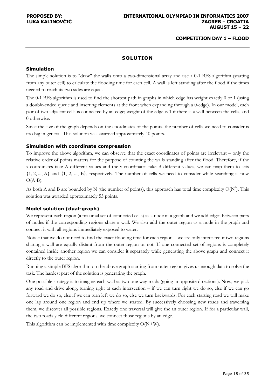# SOLUTION

# Simulation

The simple solution is to "draw" the walls onto a two-dimensional array and use a 0-1 BFS algorithm (starting from any outer cell) to calculate the flooding time for each cell. A wall is left standing after the flood if the times needed to reach its two sides are equal.

The 0-1 BFS algorithm is used to find the shortest path in graphs in which edge has weight exactly 0 or 1 (using a double-ended queue and inserting elements at the front when expanding through a 0-edge). In our model, each pair of two adjacent cells is connected by an edge; weight of the edge is 1 if there is a wall between the cells, and 0 otherwise.

Since the size of the graph depends on the coordinates of the points, the number of cells we need to consider is too big in general. This solution was awarded approximately 40 points.

# Simulation with coordinate compression

To improve the above algorithm, we can observe that the exact coordinates of points are irrelevant – only the relative order of points matters for the purpose of counting the walls standing after the flood. Therefore, if the x-coordinates take A different values and the y-coordinates take B different values, we can map them to sets  $\{1, 2, ..., A\}$  and  $\{1, 2, ..., B\}$ , respectively. The number of cells we need to consider while searching is now  $O(A \cdot B)$ .

As both A and B are bounded by N (the number of points), this approach has total time complexity  $O(N^2)$ . This solution was awarded approximately 55 points.

# Model solution (dual-graph)

We represent each region (a maximal set of connected cells) as a node in a graph and we add edges between pairs of nodes if the corresponding regions share a wall. We also add the outer region as a node in the graph and connect it with all regions immediately exposed to water.

Notice that we do not need to find the exact flooding time for each region – we are only interested if two regions sharing a wall are equally distant from the outer region or not. If one connected set of regions is completely contained inside another region we can consider it separately while generating the above graph and connect it directly to the outer region.

Running a simple BFS algorithm on the above graph starting from outer region gives us enough data to solve the task. The hardest part of the solution is generating the graph.

One possible strategy is to imagine each wall as two one-way roads (going in opposite directions). Now, we pick any road and drive along, turning right at each intersection – if we can turn right we do so, else if we can go forward we do so, else if we can turn left we do so, else we turn backwards. For each starting road we will make one lap around one region and end up where we started. By successively choosing new roads and traversing them, we discover all possible regions. Exactly one traversal will give the an outer region. If for a particular wall, the two roads yield different regions, we connect those regions by an edge.

This algorithm can be implemented with time complexity O(N+W).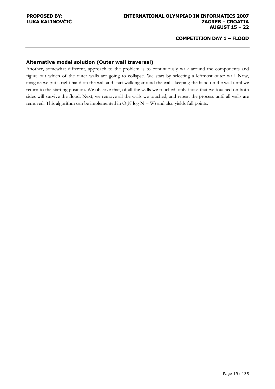# Alternative model solution (Outer wall traversal)

Another, somewhat different, approach to the problem is to continuously walk around the components and figure out which of the outer walls are going to collapse. We start by selecting a leftmost outer wall. Now, imagine we put a right hand on the wall and start walking around the walls keeping the hand on the wall until we return to the starting position. We observe that, of all the walls we touched, only those that we touched on both sides will survive the flood. Next, we remove all the walls we touched, and repeat the process until all walls are removed. This algorithm can be implemented in  $O(N \log N + W)$  and also yields full points.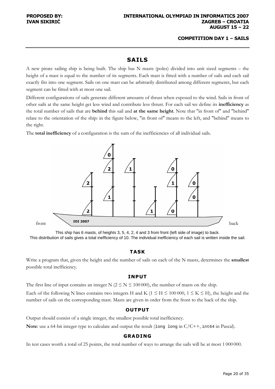# SAILS

A new pirate sailing ship is being built. The ship has N masts (poles) divided into unit sized segments – the height of a mast is equal to the number of its segments. Each mast is fitted with a number of sails and each sail exactly fits into one segment. Sails on one mast can be arbitrarily distributed among different segments, but each segment can be fitted with at most one sail.

Different configurations of sails generate different amounts of thrust when exposed to the wind. Sails in front of other sails at the same height get less wind and contribute less thrust. For each sail we define its inefficiency as the total number of sails that are behind this sail and at the same height. Note that "in front of" and "behind" relate to the orientation of the ship: in the figure below, "in front of" means to the left, and "behind" means to the right.

The **total inefficiency** of a configuration is the sum of the inefficiencies of all individual sails.



This ship has 6 masts, of heights 3, 5, 4, 2, 4 and 3 from front (left side of image) to back. This distribution of sails gives a total inefficiency of 10. The individual inefficiency of each sail is written inside the sail.

# TASK

Write a program that, given the height and the number of sails on each of the N masts, determines the smallest possible total inefficiency.

# INPUT

The first line of input contains an integer N ( $2 \le N \le 100000$ ), the number of masts on the ship.

Each of the following N lines contains two integers H and K ( $1 \le H \le 100000$ ,  $1 \le K \le H$ ), the height and the number of sails on the corresponding mast. Masts are given in order from the front to the back of the ship.

# **OUTPUT**

Output should consist of a single integer, the smallest possible total inefficiency.

Note: use a 64-bit integer type to calculate and output the result (long long in  $C/C++$ , int64 in Pascal).

# GRADING

In test cases worth a total of 25 points, the total number of ways to arrange the sails will be at most 1 000 000.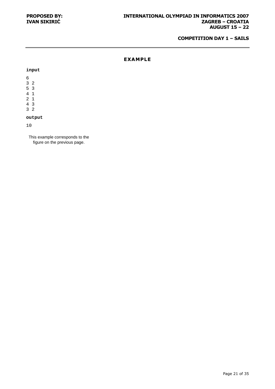# EXAMPLE

**input** 

6

4 1

2 1

4 3

3 2

**output** 

10

This example corresponds to the figure on the previous page.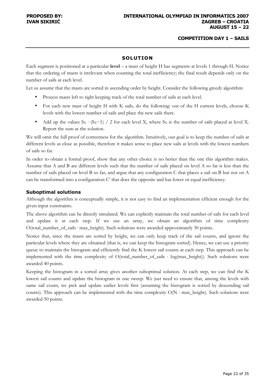# SOLUTION

Each segment is positioned at a particular level – a mast of height H has segments at levels 1 through H. Notice that the ordering of masts is irrelevant when counting the total inefficiency; the final result depends only on the number of sails at each level.

Let us assume that the masts are sorted in ascending order by height. Consider the following greedy algorithm:

- Process masts left to right keeping track of the total number of sails at each level.
- For each new mast of height H with K sails, do the following: out of the H current levels, choose K levels with the lowest number of sails and place the new sails there.
- Add up the values  $S_X \cdot (S_X-1)$  / 2 for each level X, where  $S_X$  is the number of sails placed at level X. Report the sum as the solution.

We will omit the full proof of correctness for the algorithm. Intuitively, our goal is to keep the number of sails at different levels as close as possible, therefore it makes sense to place new sails at levels with the lowest numbers of sails so far.

In order to obtain a formal proof, show that any other choice is no better than the one this algorithm makes. Assume that A and B are different levels such that the number of sails placed on level A so far is less than the number of sails placed on level B so far, and argue that any configuration C that places a sail on B but not on A can be transformed into a configuration C' that does the opposite and has lower or equal inefficiency.

## Suboptimal solutions

Although the algorithm is conceptually simple, it is not easy to find an implementation efficient enough for the given input constraints.

The above algorithm can be directly simulated. We can explicitly maintain the total number of sails for each level and update it at each step. If we use an array, we obtain an algorithm of time complexity  $O(total\_number\_of\_sails \cdot max\_height)$ . Such solutions were awarded approximately 30 points.

Notice that, since the masts are sorted by height, we can only keep track of the sail counts, and ignore the particular levels where they are obtained (that is, we can keep the histogram sorted). Hence, we can use a priority queue to maintain the histogram and efficiently find the K lowest sail counts at each step. This approach can be implemented with the time complexity of O(total\_number\_of\_sails · log(max\_height)). Such solutions were awarded 40 points.

Keeping the histogram in a sorted array gives another suboptimal solution. At each step, we can find the K lowest sail counts and update the histogram in one sweep. We just need to ensure that, among the levels with same sail count, we pick and update earlier levels first (assuming the histogram is sorted by descending sail counts). This approach can be implemented with the time complexity  $O(N \cdot \text{max height})$ . Such solutions were awarded 50 points.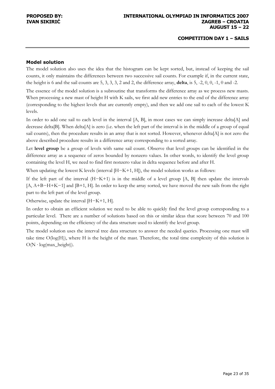# Model solution

The model solution also uses the idea that the histogram can be kept sorted, but, instead of keeping the sail counts, it only maintains the differences between two successive sail counts. For example if, in the current state, the height is 6 and the sail counts are 5, 3, 3, 3, 2 and 2, the difference array, **delta**, is  $5, -2, 0, 0, -1, 0$  and  $-2$ .

The essence of the model solution is a subroutine that transforms the difference array as we process new masts. When processing a new mast of height H with K sails, we first add new entries to the end of the difference array (corresponding to the highest levels that are currently empty), and then we add one sail to each of the lowest K levels.

In order to add one sail to each level in the interval [A, B], in most cases we can simply increase delta[A] and decrease delta[B]. When delta[A] is zero (i.e. when the left part of the interval is in the middle of a group of equal sail counts), then the procedure results in an array that is not sorted. However, whenever delta[A] is not zero the above described procedure results in a difference array corresponding to a sorted array.

Let level group be a group of levels with same sail count. Observe that level groups can be identified in the difference array as a sequence of zeros bounded by nonzero values. In other words, to identify the level group containing the level H, we need to find first nonzero value in delta sequence before and after H.

When updating the lowest K levels (interval [H−K+1, H]), the model solution works as follows:

If the left part of the interval (H−K+1) is in the middle of a level group [A, B] then update the intervals [A, A+B−H+K−1] and [B+1, H]. In order to keep the array sorted, we have moved the new sails from the right part to the left part of the level group.

Otherwise, update the interval [H−K+1, H].

In order to obtain an efficient solution we need to be able to quickly find the level group corresponding to a particular level. There are a number of solutions based on this or similar ideas that score between 70 and 100 points, depending on the efficiency of the data structure used to identify the level group.

The model solution uses the interval tree data structure to answer the needed queries. Processing one mast will take time O(log(H)), where H is the height of the mast. Therefore, the total time complexity of this solution is  $O(N \cdot log(max\_height)).$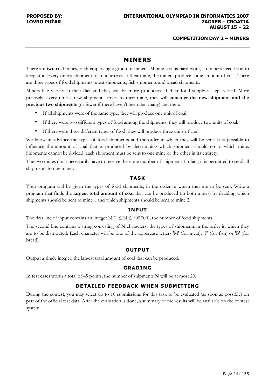## COMPETITION DAY 2 – MINERS

# MINERS

There are two coal mines, each employing a group of miners. Mining coal is hard work, so miners need food to keep at it. Every time a shipment of food arrives at their mine, the miners produce some amount of coal. There are three types of food shipments: meat shipments, fish shipments and bread shipments.

Miners like variety in their diet and they will be more productive if their food supply is kept varied. More precisely, every time a new shipment arrives to their mine, they will consider the new shipment and the previous two shipments (or fewer if there haven't been that many) and then:

- If all shipments were of the same type, they will produce one unit of coal.
- If there were two different types of food among the shipments, they will produce two units of coal.
- If there were three different types of food, they will produce three units of coal.

We know in advance the types of food shipments and the order in which they will be sent. It is possible to influence the amount of coal that is produced by determining which shipment should go to which mine. Shipments cannot be divided; each shipment must be sent to one mine or the other in its entirety.

The two mines don't necessarily have to receive the same number of shipments (in fact, it is permitted to send all shipments to one mine).

# TASK

Your program will be given the types of food shipments, in the order in which they are to be sent. Write a program that finds the largest total amount of coal that can be produced (in both mines) by deciding which shipments should be sent to mine 1 and which shipments should be sent to mine 2.

# INPUT

The first line of input contains an integer N ( $1 \le N \le 100000$ ), the number of food shipments.

The second line contains a string consisting of N characters, the types of shipments in the order in which they are to be distributed. Each character will be one of the uppercase letters 'M' (for meat), 'F' (for fish) or 'B' (for bread).

## **OUTPUT**

Output a single integer, the largest total amount of coal that can be produced.

# GRADING

In test cases worth a total of 45 points, the number of shipments N will be at most 20.

# DETAILED FEEDBACK WHEN SUBMITTING

During the contest, you may select up to 10 submissions for this task to be evaluated (as soon as possible) on part of the official test data. After the evaluation is done, a summary of the results will be available on the contest system.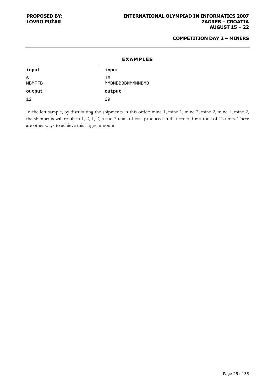# COMPETITION DAY 2 – MINERS

# EXAMPLES

| input       | input                         |
|-------------|-------------------------------|
| 6<br>MBMFFB | 16<br><b>MMRMRRRRMMMMMRMR</b> |
| output      | output                        |
| 12          | 29                            |

In the left sample, by distributing the shipments in this order: mine 1, mine 1, mine 2, mine 2, mine 1, mine 2, the shipments will result in 1, 2, 1, 2, 3 and 3 units of coal produced in that order, for a total of 12 units. There are other ways to achieve this largest amount.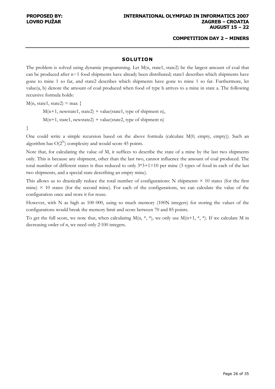## COMPETITION DAY 2 – MINERS

# **SOLUTION**

The problem is solved using dynamic programming. Let M(n, state1, state2) be the largest amount of coal that can be produced after n−1 food shipments have already been distributed; state1 describes which shipments have gone to mine 1 so far, and state2 describes which shipments have gone to mine 1 so far. Furthermore, let value(a, b) denote the amount of coal produced when food of type b arrives to a mine in state a. The following recursive formula holds:

 $M(n, state1, state2) = max$  {

 $M(n+1, new state1, state2)$  + value(state1, type of shipment n),

 $M(n+1, state1, newstate2) + value(state2, type of shipment n)$ 

}

One could write a simple recursion based on the above formula (calculate M(0, empty, empty)). Such an algorithm has  $O(2^N)$  complexity and would score 45 points.

Note that, for calculating the value of M, it suffices to describe the state of a mine by the last two shipments only. This is because any shipment, other than the last two, cannot influence the amount of coal produced. The total number of different states is thus reduced to only 3\*3+1=10 per mine (3 types of food in each of the last two shipments, and a special state describing an empty mine).

This allows us to drastically reduce the total number of configurations: N shipments  $\times$  10 states (for the first mine)  $\times$  10 states (for the second mine). For each of the configurations, we can calculate the value of the configuration once and store it for reuse.

However, with N as high as 100 000, using so much memory (100N integers) for storing the values of the configurations would break the memory limit and score between 70 and 85 points.

To get the full score, we note that, when calculating  $M(n, *, *,)$ , we only use  $M(n+1, *, *,)$ . If we calculate M in decreasing order of n, we need only 2·100 integers.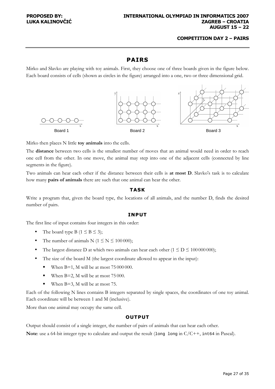PROPOSED BY: LUKA KALINOVČIĆ

#### COMPETITION DAY 2 – PAIRS

# PAIRS

Mirko and Slavko are playing with toy animals. First, they choose one of three boards given in the figure below. Each board consists of cells (shown as circles in the figure) arranged into a one, two or three dimensional grid.



Mirko then places N little toy animals into the cells.

The **distance** between two cells is the smallest number of moves that an animal would need in order to reach one cell from the other. In one move, the animal may step into one of the adjacent cells (connected by line segments in the figure).

Two animals can hear each other if the distance between their cells is at most D. Slavko's task is to calculate how many pairs of animals there are such that one animal can hear the other.

## TASK

Write a program that, given the board type, the locations of all animals, and the number D, finds the desired number of pairs.

## INPUT

The first line of input contains four integers in this order:

- The board type B  $(1 \le B \le 3)$ ;
- The number of animals N ( $1 \le N \le 100000$ );
- The largest distance D at which two animals can hear each other  $(1 \le D \le 100\,000\,000)$ ;
- The size of the board M (the largest coordinate allowed to appear in the input):
	- When  $B=1$ , M will be at most  $75000000$ .
	- When B=2, M will be at most 75 000.
	- When B=3, M will be at most 75.

Each of the following N lines contains B integers separated by single spaces, the coordinates of one toy animal. Each coordinate will be between 1 and M (inclusive).

More than one animal may occupy the same cell.

# **OUTPUT**

Output should consist of a single integer, the number of pairs of animals that can hear each other.

Note: use a 64-bit integer type to calculate and output the result (long long in  $C/C++$ , int64 in Pascal).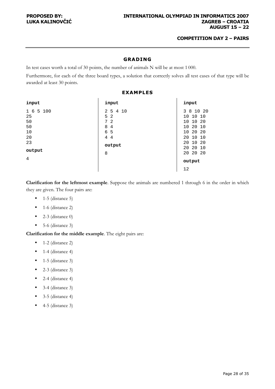PROPOSED BY: LUKA KALINOVČIĆ

# COMPETITION DAY 2 – PAIRS

## GRADING

In test cases worth a total of 30 points, the number of animals N will be at most 1 000.

Furthermore, for each of the three board types, a solution that correctly solves all test cases of that type will be awarded at least 30 points.

## EXAMPLES

| input        | input                            | input          |
|--------------|----------------------------------|----------------|
| 1 6<br>5 100 | 2 <sub>5</sub><br>4 10           | 3<br>8 10 20   |
| 25           | 5<br>-2                          | 10<br>10<br>10 |
| 50           | 7 <sub>2</sub>                   | 10 20<br>10    |
| 50           | 8<br>4                           | 20<br>10<br>10 |
| 10           | 6<br>-5                          | 20 20<br>10    |
| 20           | $\overline{4}$<br>$\overline{4}$ | 10<br>20<br>10 |
| 23           | output                           | 20 10<br>20    |
| output       |                                  | 20<br>20<br>10 |
|              | 8                                | 20 20 20       |
| 4            |                                  | output         |
|              |                                  | 12             |

Clarification for the leftmost example. Suppose the animals are numbered 1 through 6 in the order in which they are given. The four pairs are:

- $\bullet$  1-5 (distance 5)
- $\bullet$  1-6 (distance 2)
- $\bullet$  2-3 (distance 0)
- $\bullet$  5-6 (distance 3)

## Clarification for the middle example. The eight pairs are:

- $\bullet$  1-2 (distance 2)
- $\bullet$  1-4 (distance 4)
- $\bullet$  1-5 (distance 3)
- $\bullet$  2-3 (distance 3)
- $\bullet$  2-4 (distance 4)
- $\bullet$  3-4 (distance 3)
- 3-5 (distance 4)
- $\bullet$  4-5 (distance 3)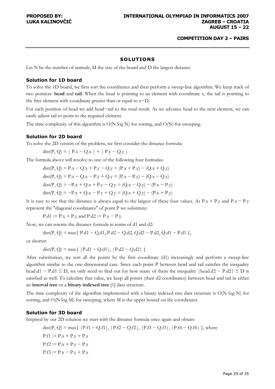#### COMPETITION DAY 2 – PAIRS

#### SOLUTIONS

Let N be the number of animals, M the size of the board and D the largest distance.

#### Solution for 1D board

To solve the 1D board, we first sort the coordinates and then perform a sweep-line algorithm. We keep track of two pointers: head and tail. When the head is pointing to an element with coordinate x, the tail is pointing to the first element with coordinate greater than or equal to x−D.

For each position of head we add head−tail to the total result. As we advance head to the next element, we can easily adjust tail to point to the required element.

The time complexity of this algorithm is  $O(N \log N)$  for sorting, and  $O(N)$  for sweeping.

# Solution for 2D board

To solve the 2D version of the problem, we first consider the distance formula:

dist(P, Q) =  $|$  P.x – Q.x  $|$  +  $|$  P.y – Q.y  $|$ 

The formula above will resolve to one of the following four formulas:

 $dist(P, Q) = P.x - Q.x + P.y - Q.y = (P.x + P.y) - (Q.x + Q.y)$  $dist(P, Q) = P.x - Q.x - P.y + Q.y = (P.x - P.y) - (Q.x - Q.y)$  $dist(P, Q) = -P.x + Q.x + P.y - Q.y = (Q.x - Q.y) - (P.x - P.y)$  $dist(P, Q) = -P.x + Q.x - P.y + Q.y = (Q.x + Q.y) - (P.x + P.y)$ 

It is easy to see that the distance is always equal to the largest of these four values. As  $P.x + P.y$  and  $P.x - Py$ . represent the "diagonal coordinates" of point P we substitute:

 $P.d1 := P.x + P.y$  and  $P.d2 := P.x - P.y$ .

Now, we can rewrite the distance formula in terms of d1 and d2:

dist(P, Q) = max{  $P.d1 - Q.d1$ ,  $P.d2 - Q.d2$ ,  $Q.d2 - P.d2$ ,  $Q.d1 - P.d1$  },

or shorter:

dist(P, Q) = max{  $|P.d1 - Q.d1|$ ,  $|P.d2 - Q.d2|$ }

After substitution, we sort all the points by the first coordinate (d1) increasingly and perform a sweep-line algorithm similar to the one-dimensional case. Since each point P between head and tail satisfies the inequality head.d1 − P.d1  $\leq$  D, we only need to find out for how many of them the inequality  $|head.d2 - P.d2| \leq D$  is satisfied as well. To calculate that value, we keep all points (their d2 coordinates) between head and tail in either an interval tree or a binary indexed tree [1] data structure.

The time complexity of the algorithm implemented with a binary indexed tree data structure is O(N log N) for sorting, and O(N log M) for sweeping, where M is the upper bound on the coordinates.

#### Solution for 3D board

Inspired by our 2D solution we start with the distance formula once again and obtain:

$$
dist(P, Q) = \max\{ |P.f1 - Q.f1|, |P.f2 - Q.f2|, |P.f3 - Q.f3|, |P.f4 - Q.f4| \}, \text{where}
$$
  
P.f1 := P.x + P.y + P.z  
P.f2 := P.x + P.y - P.z  
P.f3 := P.x - P.y + P.z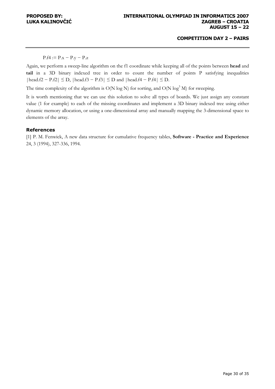### COMPETITION DAY 2 – PAIRS

 $P.f4 := P.x - P.y - P.z$ 

Again, we perform a sweep-line algorithm on the f1 coordinate while keeping all of the points between head and tail in a 3D binary indexed tree in order to count the number of points P satisfying inequalities |head.f2 − P.f2| ≤ D, |head.f3 − P.f3| ≤ D and |head.f4 − P.f4| ≤ D.

The time complexity of the algorithm is  $O(N \log N)$  for sorting, and  $O(N \log^3 M)$  for sweeping.

It is worth mentioning that we can use this solution to solve all types of boards. We just assign any constant value (1 for example) to each of the missing coordinates and implement a 3D binary indexed tree using either dynamic memory allocation, or using a one-dimensional array and manually mapping the 3-dimensional space to elements of the array.

#### References

[1] P. M. Fenwick, A new data structure for cumulative frequency tables, Software - Practice and Experience 24, 3 (1994), 327-336, 1994.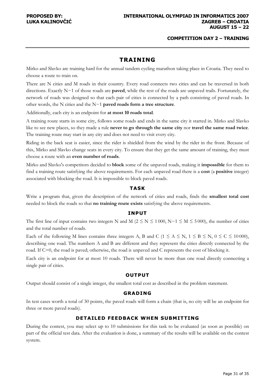## COMPETITION DAY 2 – TRAINING

# TRAINING

Mirko and Slavko are training hard for the annual tandem cycling marathon taking place in Croatia. They need to choose a route to train on.

There are N cities and M roads in their country. Every road connects two cities and can be traversed in both directions. Exactly N−1 of those roads are paved, while the rest of the roads are unpaved trails. Fortunately, the network of roads was designed so that each pair of cities is connected by a path consisting of paved roads. In other words, the N cities and the N−1 paved roads form a tree structure.

Additionally, each city is an endpoint for at most 10 roads total.

A training route starts in some city, follows some roads and ends in the same city it started in. Mirko and Slavko like to see new places, so they made a rule never to go through the same city nor travel the same road twice. The training route may start in any city and does not need to visit every city.

Riding in the back seat is easier, since the rider is shielded from the wind by the rider in the front. Because of this, Mirko and Slavko change seats in every city. To ensure that they get the same amount of training, they must choose a route with an even number of roads.

Mirko and Slavko's competitors decided to **block** some of the unpaved roads, making it **impossible** for them to find a training route satisfying the above requirements. For each unpaved road there is a cost (a positive integer) associated with blocking the road. It is impossible to block paved roads.

## TASK

Write a program that, given the description of the network of cities and roads, finds the smallest total cost needed to block the roads so that no training route exists satisfying the above requirements.

# INPUT

The first line of input contains two integers N and M ( $2 \le N \le 1000$ , N−1  $\le M \le 5000$ ), the number of cities and the total number of roads.

Each of the following M lines contains three integers A, B and C ( $1 \le A \le N$ ,  $1 \le B \le N$ ,  $0 \le C \le 10000$ ), describing one road. The numbers A and B are different and they represent the cities directly connected by the road. If C=0, the road is paved; otherwise, the road is unpaved and C represents the cost of blocking it.

Each city is an endpoint for at most 10 roads. There will never be more than one road directly connecting a single pair of cities.

# OUTPUT

Output should consist of a single integer, the smallest total cost as described in the problem statement.

## GRADING

In test cases worth a total of 30 points, the paved roads will form a chain (that is, no city will be an endpoint for three or more paved roads).

## DETAILED FEEDBACK WHEN SUBMITTING

During the contest, you may select up to 10 submissions for this task to be evaluated (as soon as possible) on part of the official test data. After the evaluation is done, a summary of the results will be available on the contest system.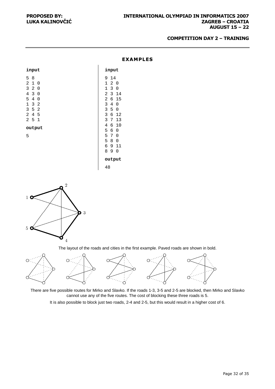# PROPOSED BY: LUKA KALINOVČIĆ

## INTERNATIONAL OLYMPIAD IN INFORMATICS 2007 ZAGREB – CROATIA AUGUST 15 – 22

# COMPETITION DAY 2 – TRAINING

| input                                   | input                    |
|-----------------------------------------|--------------------------|
| 8<br>5                                  | 14<br>9                  |
| 2<br>$\mathbf 1$<br>0                   | $\overline{a}$<br>1<br>0 |
| 3<br>2<br>0                             | 1<br>3<br>0              |
| 4<br>3 <sub>0</sub>                     | $\overline{a}$<br>3 14   |
| 4<br>5<br>0                             | 2<br>6<br>15             |
| $\mathbf 1$<br>$\mathbf{3}$<br>2        | 3<br>4<br>0              |
| 3 <sub>5</sub><br>$\overline{2}$        | 3<br>5<br>0              |
| $\overline{a}$<br>$\overline{4}$<br>- 5 | 3<br>6<br>12             |
| 2<br>5<br>$\mathbf{1}$                  | 3<br>7<br>13             |
|                                         | 4<br>6<br>10             |
| output                                  | 5<br>6<br>0              |
| 5                                       | 5<br>0<br>7              |
|                                         | 0<br>5<br>8              |
|                                         | 6<br>9<br>11             |
|                                         | 8<br>9<br>0              |
|                                         | output                   |
|                                         | 48                       |

 $\overline{2}$  $1<sup>o</sup>$ 3  $\overline{5}$ -C

 $\overline{4}$ 

The layout of the roads and cities in the first example. Paved roads are shown in bold.



There are five possible routes for Mirko and Slavko. If the roads 1-3, 3-5 and 2-5 are blocked, then Mirko and Slavko cannot use any of the five routes. The cost of blocking these three roads is 5.

It is also possible to block just two roads, 2-4 and 2-5, but this would result in a higher cost of 6.

# EXAMPLES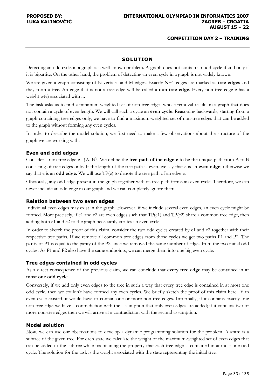## COMPETITION DAY 2 – TRAINING

# **SOLUTION**

Detecting an odd cycle in a graph is a well-known problem. A graph does not contain an odd cycle if and only if it is bipartite. On the other hand, the problem of detecting an even cycle in a graph is not widely known.

We are given a graph consisting of N vertices and M edges. Exactly N−1 edges are marked as tree edges and they form a tree. An edge that is not a tree edge will be called a non-tree edge. Every non-tree edge e has a weight w(e) associated with it.

The task asks us to find a minimum-weighted set of non-tree edges whose removal results in a graph that does not contain a cycle of even length. We will call such a cycle an **even cycle**. Reasoning backwards, starting from a graph containing tree edges only, we have to find a maximum-weighted set of non-tree edges that can be added to the graph without forming any even cycles.

In order to describe the model solution, we first need to make a few observations about the structure of the graph we are working with.

# Even and odd edges

Consider a non-tree edge  $e = \{A, B\}$ . We define the **tree path of the edge e** to be the unique path from A to B consisting of tree edges only. If the length of the tree path is even, we say that e is an even edge; otherwise we say that  $e$  is an odd edge. We will use  $TP(e)$  to denote the tree path of an edge  $e$ .

Obviously, any odd edge present in the graph together with its tree path forms an even cycle. Therefore, we can never include an odd edge in our graph and we can completely ignore them.

## Relation between two even edges

Individual even edges may exist in the graph. However, if we include several even edges, an even cycle might be formed. More precisely, if e1 and e2 are even edges such that TP(e1) and TP(e2) share a common tree edge, then adding both e1 and e2 to the graph necessarily creates an even cycle.

In order to sketch the proof of this claim, consider the two odd cycles created by e1 and e2 together with their respective tree paths. If we remove all common tree edges from those cycles we get two paths P1 and P2. The parity of P1 is equal to the parity of the P2 since we removed the same number of edges from the two initial odd cycles. As P1 and P2 also have the same endpoints, we can merge them into one big even cycle.

## Tree edges contained in odd cycles

As a direct consequence of the previous claim, we can conclude that every tree edge may be contained in at most one odd cycle.

Conversely, if we add only even edges to the tree in such a way that every tree edge is contained in at most one odd cycle, then we couldn't have formed any even cycles. We briefly sketch the proof of this claim here. If an even cycle existed, it would have to contain one or more non-tree edges. Informally, if it contains exactly one non-tree edge we have a contradiction with the assumption that only even edges are added; if it contains two or more non-tree edges then we will arrive at a contradiction with the second assumption.

## Model solution

Now, we can use our observations to develop a dynamic programming solution for the problem. A state is a subtree of the given tree. For each state we calculate the weight of the maximum-weighted set of even edges that can be added to the subtree while maintaining the property that each tree edge is contained in at most one odd cycle. The solution for the task is the weight associated with the state representing the initial tree.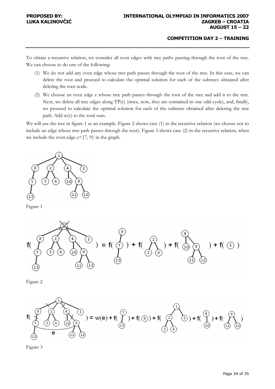# PROPOSED BY: LUKA KALINOVČIĆ

# COMPETITION DAY 2 – TRAINING

To obtain a recursive relation, we consider all even edges with tree paths passing through the root of the tree. We can choose to do one of the following:

- (1) We do not add any even edge whose tree path passes through the root of the tree. In this case, we can delete the root and proceed to calculate the optimal solution for each of the subtrees obtained after deleting the root node.
- (2) We choose an even edge e whose tree path passes through the root of the tree and add it to the tree. Next, we delete all tree edges along TP(e) (since, now, they are contained in one odd cycle), and, finally, we proceed to calculate the optimal solution for each of the subtrees obtained after deleting the tree path. Add w(e) to the total sum.

We will use the tree in figure 1 as an example. Figure 2 shows case (1) in the recursive relation (we choose not to include an edge whose tree path passes through the root). Figure 3 shows case (2) in the recursive relation, when we include the even edge  $e = \{7, 9\}$  in the graph.







Figure 2



Figure 3